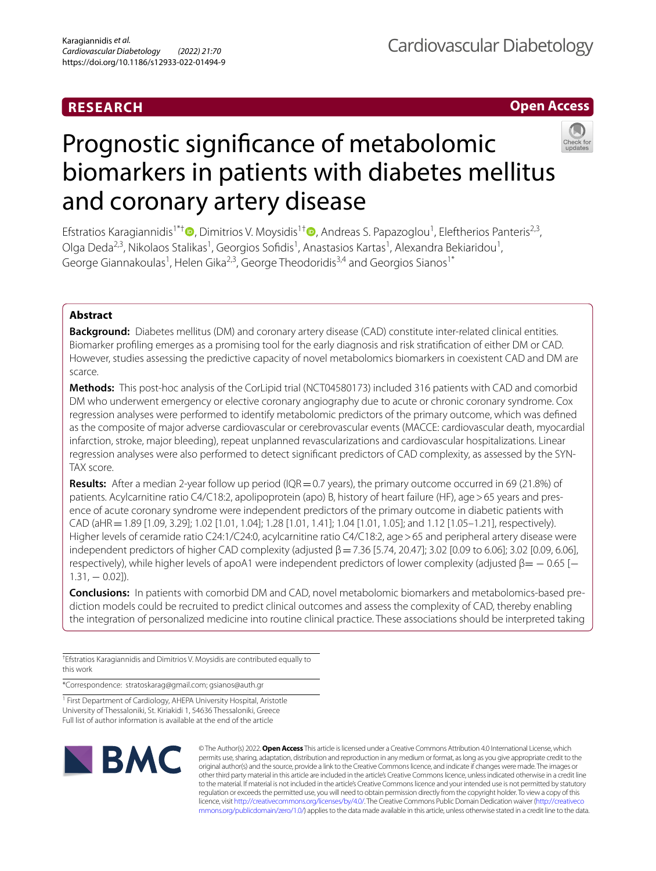## **RESEARCH**

**Open Access**

# Prognostic signifcance of metabolomic biomarkers in patients with diabetes mellitus and coronary artery disease

Efstratios Karagiannidis<sup>1\*[†](http://orcid.org/0000-0001-9083-0267)</sup> <sup>(D</sup>, Dimitrios V. Moysidis<sup>1†</sup> <sup>(D</sup>, Andreas S. Papazoglou<sup>1</sup>, Eleftherios Panteris<sup>2,3</sup>, Olga Deda<sup>2,3</sup>, Nikolaos Stalikas<sup>1</sup>, Georgios Sofidis<sup>1</sup>, Anastasios Kartas<sup>1</sup>, Alexandra Bekiaridou<sup>1</sup>, George Giannakoulas<sup>1</sup>, Helen Gika<sup>2,3</sup>, George Theodoridis<sup>3,4</sup> and Georgios Sianos<sup>1\*</sup>

## **Abstract**

**Background:** Diabetes mellitus (DM) and coronary artery disease (CAD) constitute inter-related clinical entities. Biomarker profling emerges as a promising tool for the early diagnosis and risk stratifcation of either DM or CAD. However, studies assessing the predictive capacity of novel metabolomics biomarkers in coexistent CAD and DM are scarce.

**Methods:** This post-hoc analysis of the CorLipid trial (NCT04580173) included 316 patients with CAD and comorbid DM who underwent emergency or elective coronary angiography due to acute or chronic coronary syndrome. Cox regression analyses were performed to identify metabolomic predictors of the primary outcome, which was defned as the composite of major adverse cardiovascular or cerebrovascular events (MACCE: cardiovascular death, myocardial infarction, stroke, major bleeding), repeat unplanned revascularizations and cardiovascular hospitalizations. Linear regression analyses were also performed to detect signifcant predictors of CAD complexity, as assessed by the SYN-TAX score.

**Results:** After a median 2-year follow up period (IQR=0.7 years), the primary outcome occurred in 69 (21.8%) of patients. Acylcarnitine ratio C4/C18:2, apolipoprotein (apo) B, history of heart failure (HF), age>65 years and presence of acute coronary syndrome were independent predictors of the primary outcome in diabetic patients with CAD (aHR = 1.89 [1.09, 3.29]; 1.02 [1.01, 1.04]; 1.28 [1.01, 1.41]; 1.04 [1.01, 1.05]; and 1.12 [1.05–1.21], respectively). Higher levels of ceramide ratio C24:1/C24:0, acylcarnitine ratio C4/C18:2, age > 65 and peripheral artery disease were independent predictors of higher CAD complexity (adjusted  $β = 7.36$  [5.74, 20.47]; 3.02 [0.09 to 6.06]; 3.02 [0.09, 6.06], respectively), while higher levels of apoA1 were independent predictors of lower complexity (adjusted  $\beta = -0.65$  [ $1.31, -0.02$ ]).

**Conclusions:** In patients with comorbid DM and CAD, novel metabolomic biomarkers and metabolomics-based prediction models could be recruited to predict clinical outcomes and assess the complexity of CAD, thereby enabling the integration of personalized medicine into routine clinical practice. These associations should be interpreted taking

† Efstratios Karagiannidis and Dimitrios V. Moysidis are contributed equally to this work

\*Correspondence: stratoskarag@gmail.com; gsianos@auth.gr

<sup>1</sup> First Department of Cardiology, AHEPA University Hospital, Aristotle University of Thessaloniki, St. Kiriakidi 1, 54636 Thessaloniki, Greece Full list of author information is available at the end of the article



© The Author(s) 2022. **Open Access** This article is licensed under a Creative Commons Attribution 4.0 International License, which permits use, sharing, adaptation, distribution and reproduction in any medium or format, as long as you give appropriate credit to the original author(s) and the source, provide a link to the Creative Commons licence, and indicate if changes were made. The images or other third party material in this article are included in the article's Creative Commons licence, unless indicated otherwise in a credit line to the material. If material is not included in the article's Creative Commons licence and your intended use is not permitted by statutory regulation or exceeds the permitted use, you will need to obtain permission directly from the copyright holder. To view a copy of this licence, visit [http://creativecommons.org/licenses/by/4.0/.](http://creativecommons.org/licenses/by/4.0/) The Creative Commons Public Domain Dedication waiver ([http://creativeco](http://creativecommons.org/publicdomain/zero/1.0/) [mmons.org/publicdomain/zero/1.0/](http://creativecommons.org/publicdomain/zero/1.0/)) applies to the data made available in this article, unless otherwise stated in a credit line to the data.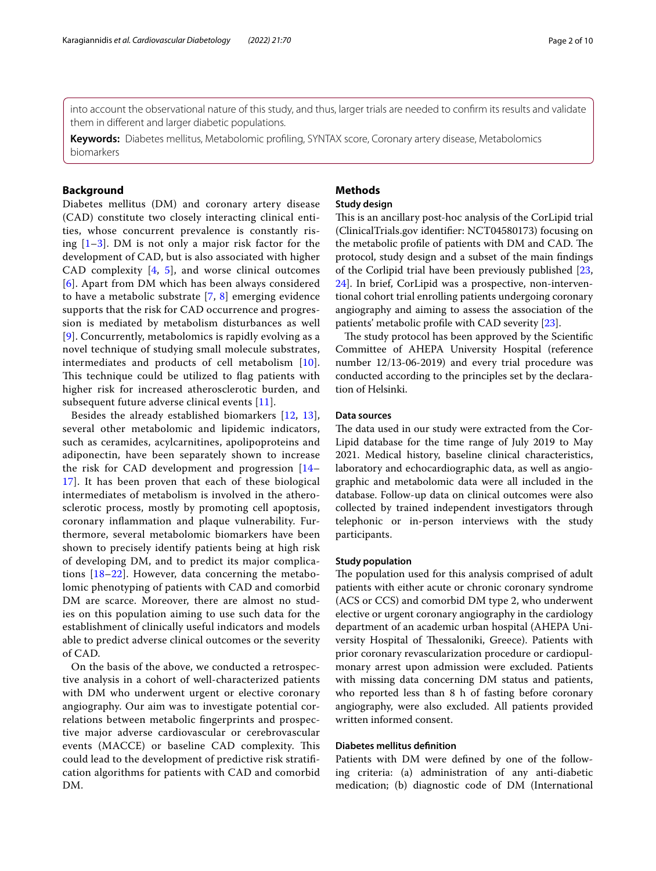into account the observational nature of this study, and thus, larger trials are needed to confrm its results and validate them in diferent and larger diabetic populations.

**Keywords:** Diabetes mellitus, Metabolomic profling, SYNTAX score, Coronary artery disease, Metabolomics biomarkers

## **Background**

Diabetes mellitus (DM) and coronary artery disease (CAD) constitute two closely interacting clinical entities, whose concurrent prevalence is constantly rising  $[1-3]$  $[1-3]$ . DM is not only a major risk factor for the development of CAD, but is also associated with higher CAD complexity  $[4, 5]$  $[4, 5]$  $[4, 5]$ , and worse clinical outcomes [[6](#page-8-4)]. Apart from DM which has been always considered to have a metabolic substrate [[7,](#page-8-5) [8](#page-8-6)] emerging evidence supports that the risk for CAD occurrence and progression is mediated by metabolism disturbances as well [[9](#page-8-7)]. Concurrently, metabolomics is rapidly evolving as a novel technique of studying small molecule substrates, intermediates and products of cell metabolism [[10](#page-8-8)]. This technique could be utilized to flag patients with higher risk for increased atherosclerotic burden, and subsequent future adverse clinical events [[11](#page-8-9)].

Besides the already established biomarkers [\[12](#page-8-10), [13\]](#page-8-11), several other metabolomic and lipidemic indicators, such as ceramides, acylcarnitines, apolipoproteins and adiponectin, have been separately shown to increase the risk for CAD development and progression [[14–](#page-8-12) [17\]](#page-8-13). It has been proven that each of these biological intermediates of metabolism is involved in the atherosclerotic process, mostly by promoting cell apoptosis, coronary infammation and plaque vulnerability. Furthermore, several metabolomic biomarkers have been shown to precisely identify patients being at high risk of developing DM, and to predict its major complications [[18](#page-8-14)[–22](#page-8-15)]. However, data concerning the metabolomic phenotyping of patients with CAD and comorbid DM are scarce. Moreover, there are almost no studies on this population aiming to use such data for the establishment of clinically useful indicators and models able to predict adverse clinical outcomes or the severity of CAD.

On the basis of the above, we conducted a retrospective analysis in a cohort of well-characterized patients with DM who underwent urgent or elective coronary angiography. Our aim was to investigate potential correlations between metabolic fngerprints and prospective major adverse cardiovascular or cerebrovascular events (MACCE) or baseline CAD complexity. This could lead to the development of predictive risk stratifcation algorithms for patients with CAD and comorbid DM.

## **Methods**

## **Study design**

This is an ancillary post-hoc analysis of the CorLipid trial (ClinicalTrials.gov identifer: NCT04580173) focusing on the metabolic profile of patients with DM and CAD. The protocol, study design and a subset of the main fndings of the Corlipid trial have been previously published [[23](#page-8-16), [24\]](#page-8-17). In brief, CorLipid was a prospective, non-interventional cohort trial enrolling patients undergoing coronary angiography and aiming to assess the association of the patients' metabolic profle with CAD severity [\[23](#page-8-16)].

The study protocol has been approved by the Scientific Committee of AHEPA University Hospital (reference number 12/13-06-2019) and every trial procedure was conducted according to the principles set by the declaration of Helsinki.

## **Data sources**

The data used in our study were extracted from the Cor-Lipid database for the time range of July 2019 to May 2021. Medical history, baseline clinical characteristics, laboratory and echocardiographic data, as well as angiographic and metabolomic data were all included in the database. Follow-up data on clinical outcomes were also collected by trained independent investigators through telephonic or in-person interviews with the study participants.

#### **Study population**

The population used for this analysis comprised of adult patients with either acute or chronic coronary syndrome (ACS or CCS) and comorbid DM type 2, who underwent elective or urgent coronary angiography in the cardiology department of an academic urban hospital (AHEPA University Hospital of Thessaloniki, Greece). Patients with prior coronary revascularization procedure or cardiopulmonary arrest upon admission were excluded. Patients with missing data concerning DM status and patients, who reported less than 8 h of fasting before coronary angiography, were also excluded. All patients provided written informed consent.

## **Diabetes mellitus defnition**

Patients with DM were defned by one of the following criteria: (a) administration of any anti-diabetic medication; (b) diagnostic code of DM (International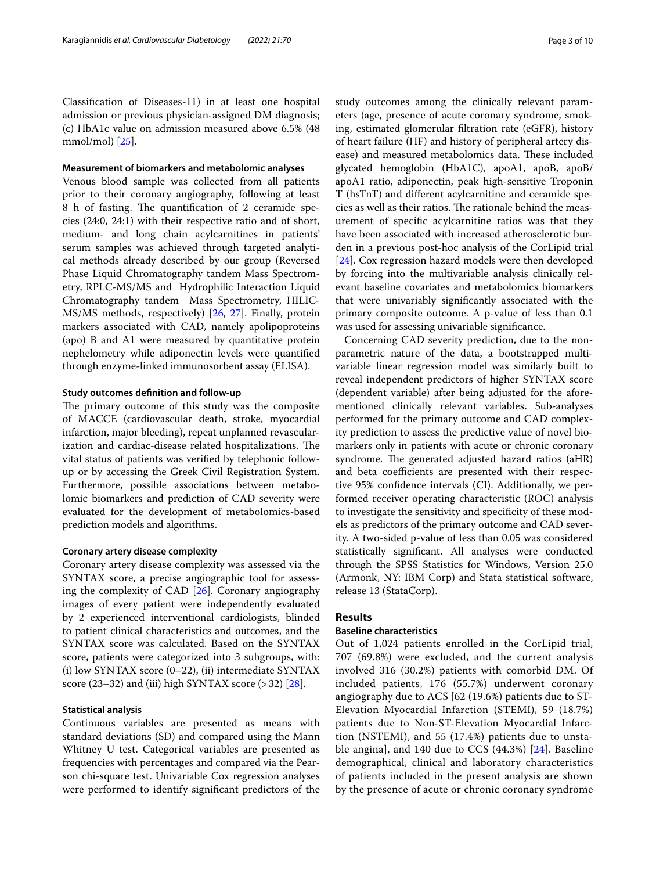Classifcation of Diseases-11) in at least one hospital admission or previous physician-assigned DM diagnosis; (c) HbA1c value on admission measured above 6.5% (48 mmol/mol) [\[25\]](#page-8-18).

#### **Measurement of biomarkers and metabolomic analyses**

Venous blood sample was collected from all patients prior to their coronary angiography, following at least 8 h of fasting. The quantification of 2 ceramide species (24:0, 24:1) with their respective ratio and of short, medium- and long chain acylcarnitines in patients' serum samples was achieved through targeted analytical methods already described by our group (Reversed Phase Liquid Chromatography tandem Mass Spectrometry, RPLC-MS/MS and Hydrophilic Interaction Liquid Chromatography tandem Mass Spectrometry, HILIC-MS/MS methods, respectively) [\[26,](#page-8-19) [27\]](#page-8-20). Finally, protein markers associated with CAD, namely apolipoproteins (apo) B and A1 were measured by quantitative protein nephelometry while adiponectin levels were quantifed through enzyme-linked immunosorbent assay (ELISA).

#### **Study outcomes defnition and follow‑up**

The primary outcome of this study was the composite of MACCE (cardiovascular death, stroke, myocardial infarction, major bleeding), repeat unplanned revascularization and cardiac-disease related hospitalizations. The vital status of patients was verifed by telephonic followup or by accessing the Greek Civil Registration System. Furthermore, possible associations between metabolomic biomarkers and prediction of CAD severity were evaluated for the development of metabolomics-based prediction models and algorithms.

#### **Coronary artery disease complexity**

Coronary artery disease complexity was assessed via the SYNTAX score, a precise angiographic tool for assessing the complexity of CAD [\[26](#page-8-19)]. Coronary angiography images of every patient were independently evaluated by 2 experienced interventional cardiologists, blinded to patient clinical characteristics and outcomes, and the SYNTAX score was calculated. Based on the SYNTAX score, patients were categorized into 3 subgroups, with: (i) low SYNTAX score (0–22), (ii) intermediate SYNTAX score  $(23-32)$  and (iii) high SYNTAX score  $(>32)$  [[28](#page-8-21)].

## **Statistical analysis**

Continuous variables are presented as means with standard deviations (SD) and compared using the Mann Whitney U test. Categorical variables are presented as frequencies with percentages and compared via the Pearson chi-square test. Univariable Cox regression analyses were performed to identify signifcant predictors of the study outcomes among the clinically relevant parameters (age, presence of acute coronary syndrome, smoking, estimated glomerular fltration rate (eGFR), history of heart failure (HF) and history of peripheral artery disease) and measured metabolomics data. These included glycated hemoglobin (HbA1C), apoA1, apoB, apoB/ apoA1 ratio, adiponectin, peak high-sensitive Troponin T (hsTnT) and diferent acylcarnitine and ceramide species as well as their ratios. The rationale behind the measurement of specifc acylcarnitine ratios was that they have been associated with increased atherosclerotic burden in a previous post-hoc analysis of the CorLipid trial [[24\]](#page-8-17). Cox regression hazard models were then developed by forcing into the multivariable analysis clinically relevant baseline covariates and metabolomics biomarkers that were univariably signifcantly associated with the primary composite outcome. A p-value of less than 0.1 was used for assessing univariable signifcance.

Concerning CAD severity prediction, due to the nonparametric nature of the data, a bootstrapped multivariable linear regression model was similarly built to reveal independent predictors of higher SYNTAX score (dependent variable) after being adjusted for the aforementioned clinically relevant variables. Sub-analyses performed for the primary outcome and CAD complexity prediction to assess the predictive value of novel biomarkers only in patients with acute or chronic coronary syndrome. The generated adjusted hazard ratios (aHR) and beta coefficients are presented with their respective 95% confdence intervals (CI). Additionally, we performed receiver operating characteristic (ROC) analysis to investigate the sensitivity and specifcity of these models as predictors of the primary outcome and CAD severity. A two-sided p-value of less than 0.05 was considered statistically signifcant. All analyses were conducted through the SPSS Statistics for Windows, Version 25.0 (Armonk, NY: IBM Corp) and Stata statistical software, release 13 (StataCorp).

## **Results**

## **Baseline characteristics**

Out of 1,024 patients enrolled in the CorLipid trial, 707 (69.8%) were excluded, and the current analysis involved 316 (30.2%) patients with comorbid DM. Of included patients, 176 (55.7%) underwent coronary angiography due to ACS [62 (19.6%) patients due to ST-Elevation Myocardial Infarction (STEMI), 59 (18.7%) patients due to Non-ST-Elevation Myocardial Infarction (NSTEMI), and 55 (17.4%) patients due to unstable angina], and 140 due to CCS (44.3%) [[24\]](#page-8-17). Baseline demographical, clinical and laboratory characteristics of patients included in the present analysis are shown by the presence of acute or chronic coronary syndrome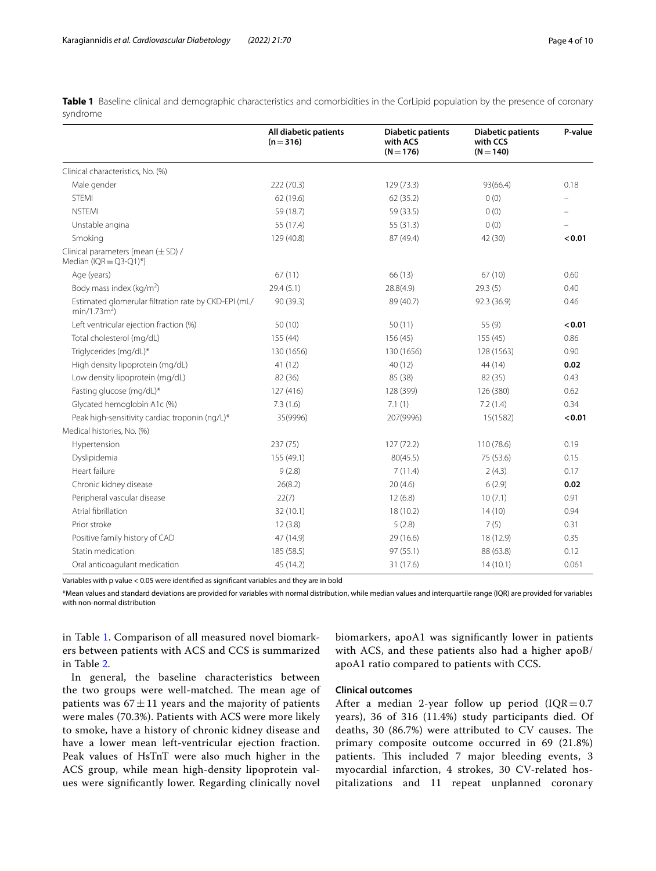<span id="page-3-0"></span>**Table 1** Baseline clinical and demographic characteristics and comorbidities in the CorLipid population by the presence of coronary syndrome

|                                                                        | All diabetic patients<br>$(n=316)$ | <b>Diabetic patients</b><br>with ACS<br>$(N = 176)$ | <b>Diabetic patients</b><br>with CCS<br>$(N = 140)$ | P-value |
|------------------------------------------------------------------------|------------------------------------|-----------------------------------------------------|-----------------------------------------------------|---------|
| Clinical characteristics, No. (%)                                      |                                    |                                                     |                                                     |         |
| Male gender                                                            | 222 (70.3)                         | 129 (73.3)                                          | 93(66.4)                                            | 0.18    |
| <b>STEMI</b>                                                           | 62 (19.6)                          | 62 (35.2)                                           | 0(0)                                                |         |
| <b>NSTEMI</b>                                                          | 59 (18.7)                          | 59 (33.5)                                           | 0(0)                                                |         |
| Unstable angina                                                        | 55 (17.4)                          | 55 (31.3)                                           | 0(0)                                                |         |
| Smoking                                                                | 129 (40.8)                         | 87 (49.4)                                           | 42 (30)                                             | < 0.01  |
| Clinical parameters [mean (±SD) /<br>Median (IQR = $Q3-Q1$ )*]         |                                    |                                                     |                                                     |         |
| Age (years)                                                            | 67(11)                             | 66 (13)                                             | 67(10)                                              | 0.60    |
| Body mass index ( $kg/m2$ )                                            | 29.4(5.1)                          | 28.8(4.9)                                           | 29.3(5)                                             | 0.40    |
| Estimated glomerular filtration rate by CKD-EPI (mL/<br>$min/1.73m2$ ) | 90 (39.3)                          | 89 (40.7)                                           | 92.3 (36.9)                                         | 0.46    |
| Left ventricular ejection fraction (%)                                 | 50(10)                             | 50(11)                                              | 55 (9)                                              | < 0.01  |
| Total cholesterol (mg/dL)                                              | 155 (44)                           | 156(45)                                             | 155 (45)                                            | 0.86    |
| Triglycerides (mg/dL)*                                                 | 130 (1656)                         | 130 (1656)                                          | 128 (1563)                                          | 0.90    |
| High density lipoprotein (mg/dL)                                       | 41 (12)                            | 40(12)                                              | 44 (14)                                             | 0.02    |
| Low density lipoprotein (mg/dL)                                        | 82 (36)                            | 85 (38)                                             | 82 (35)                                             | 0.43    |
| Fasting glucose (mg/dL)*                                               | 127 (416)                          | 128 (399)                                           | 126 (380)                                           | 0.62    |
| Glycated hemoglobin A1c (%)                                            | 7.3(1.6)                           | 7.1(1)                                              | 7.2(1.4)                                            | 0.34    |
| Peak high-sensitivity cardiac troponin (ng/L)*                         | 35(9996)                           | 207(9996)                                           | 15(1582)                                            | < 0.01  |
| Medical histories, No. (%)                                             |                                    |                                                     |                                                     |         |
| Hypertension                                                           | 237(75)                            | 127(72.2)                                           | 110 (78.6)                                          | 0.19    |
| Dyslipidemia                                                           | 155 (49.1)                         | 80(45.5)                                            | 75 (53.6)                                           | 0.15    |
| Heart failure                                                          | 9(2.8)                             | 7(11.4)                                             | 2(4.3)                                              | 0.17    |
| Chronic kidney disease                                                 | 26(8.2)                            | 20(4.6)                                             | 6(2.9)                                              | 0.02    |
| Peripheral vascular disease                                            | 22(7)                              | 12(6.8)                                             | 10(7.1)                                             | 0.91    |
| Atrial fibrillation                                                    | 32 (10.1)                          | 18(10.2)                                            | 14(10)                                              | 0.94    |
| Prior stroke                                                           | 12(3.8)                            | 5(2.8)                                              | 7(5)                                                | 0.31    |
| Positive family history of CAD                                         | 47 (14.9)                          | 29 (16.6)                                           | 18 (12.9)                                           | 0.35    |
| Statin medication                                                      | 185 (58.5)                         | 97(55.1)                                            | 88 (63.8)                                           | 0.12    |
| Oral anticoagulant medication                                          | 45 (14.2)                          | 31 (17.6)                                           | 14(10.1)                                            | 0.061   |

Variables with p value < 0.05 were identifed as signifcant variables and they are in bold

\*Mean values and standard deviations are provided for variables with normal distribution, while median values and interquartile range (IQR) are provided for variables with non-normal distribution

in Table [1.](#page-3-0) Comparison of all measured novel biomarkers between patients with ACS and CCS is summarized in Table [2.](#page-4-0)

In general, the baseline characteristics between the two groups were well-matched. The mean age of patients was  $67 \pm 11$  years and the majority of patients were males (70.3%). Patients with ACS were more likely to smoke, have a history of chronic kidney disease and have a lower mean left-ventricular ejection fraction. Peak values of HsTnT were also much higher in the ACS group, while mean high-density lipoprotein values were signifcantly lower. Regarding clinically novel biomarkers, apoA1 was signifcantly lower in patients with ACS, and these patients also had a higher apoB/ apoA1 ratio compared to patients with CCS.

## **Clinical outcomes**

After a median 2-year follow up period  $(IQR=0.7)$ years), 36 of 316 (11.4%) study participants died. Of deaths, 30  $(86.7%)$  were attributed to CV causes. The primary composite outcome occurred in 69 (21.8%) patients. This included 7 major bleeding events, 3 myocardial infarction, 4 strokes, 30 CV-related hospitalizations and 11 repeat unplanned coronary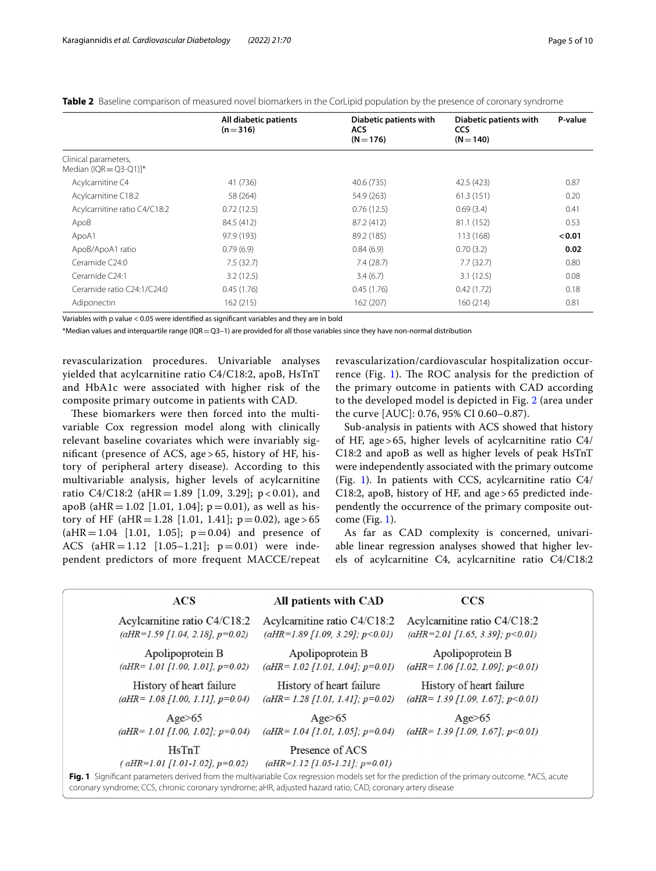|                                                              | All diabetic patients<br>$(n=316)$ | Diabetic patients with<br>ACS.<br>$(N = 176)$ | Diabetic patients with<br><b>CCS</b><br>$(N = 140)$ | P-value |
|--------------------------------------------------------------|------------------------------------|-----------------------------------------------|-----------------------------------------------------|---------|
| Clinical parameters,<br>Median (IQR = $Q3-Q1$ ) <sup>*</sup> |                                    |                                               |                                                     |         |
| Acylcarnitine C4                                             | 41 (736)                           | 40.6 (735)                                    | 42.5 (423)                                          | 0.87    |
| Acylcarnitine C18:2                                          | 58 (264)                           | 54.9 (263)                                    | 61.3(151)                                           | 0.20    |
| Acylcarnitine ratio C4/C18:2                                 | 0.72(12.5)                         | 0.76(12.5)                                    | 0.69(3.4)                                           | 0.41    |
| ApoB                                                         | 84.5 (412)                         | 87.2 (412)                                    | 81.1 (152)                                          | 0.53    |
| ApoA1                                                        | 97.9 (193)                         | 89.2 (185)                                    | 113 (168)                                           | < 0.01  |
| ApoB/ApoA1 ratio                                             | 0.79(6.9)                          | 0.84(6.9)                                     | 0.70(3.2)                                           | 0.02    |
| Ceramide C <sub>24:0</sub>                                   | 7.5(32.7)                          | 7.4(28.7)                                     | 7.7(32.7)                                           | 0.80    |
| Ceramide C <sub>24:1</sub>                                   | 3.2(12.5)                          | 3.4(6.7)                                      | 3.1(12.5)                                           | 0.08    |
| Ceramide ratio C24:1/C24:0                                   | 0.45(1.76)                         | 0.45(1.76)                                    | 0.42(1.72)                                          | 0.18    |
| Adiponectin                                                  | 162 (215)                          | 162 (207)                                     | 160(214)                                            | 0.81    |

<span id="page-4-0"></span>**Table 2** Baseline comparison of measured novel biomarkers in the CorLipid population by the presence of coronary syndrome

Variables with p value < 0.05 were identifed as signifcant variables and they are in bold

\*Median values and interquartile range (IQR=Q3–1) are provided for all those variables since they have non-normal distribution

revascularization procedures. Univariable analyses yielded that acylcarnitine ratio C4/C18:2, apoB, HsTnT and HbA1c were associated with higher risk of the composite primary outcome in patients with CAD.

These biomarkers were then forced into the multivariable Cox regression model along with clinically relevant baseline covariates which were invariably signifcant (presence of ACS, age > 65, history of HF, history of peripheral artery disease). According to this multivariable analysis, higher levels of acylcarnitine ratio C4/C18:2 (aHR = 1.89 [1.09, 3.29]; p < 0.01), and apoB (aHR = 1.02 [1.01, 1.04];  $p = 0.01$ ), as well as history of HF (aHR = 1.28 [1.01, 1.41];  $p = 0.02$ ), age > 65  $(aHR = 1.04$  [1.01, 1.05];  $p = 0.04$  and presence of ACS (aHR=1.12 [1.05–1.21]; p=0.01) were independent predictors of more frequent MACCE/repeat revascularization/cardiovascular hospitalization occur-rence (Fig. [1](#page-4-1)). The ROC analysis for the prediction of the primary outcome in patients with CAD according to the developed model is depicted in Fig. [2](#page-5-0) (area under the curve [AUC]: 0.76, 95% CI 0.60–0.87).

Sub-analysis in patients with ACS showed that history of HF, age>65, higher levels of acylcarnitine ratio C4/ C18:2 and apoB as well as higher levels of peak HsTnT were independently associated with the primary outcome (Fig. [1](#page-4-1)). In patients with CCS, acylcarnitine ratio C4/ C18:2, apoB, history of HF, and age>65 predicted independently the occurrence of the primary composite outcome (Fig. [1](#page-4-1)).

As far as CAD complexity is concerned, univariable linear regression analyses showed that higher levels of acylcarnitine C4, acylcarnitine ratio C4/C18:2

| ACS                                                  | All patients with CAD                                  | <b>CCS</b>                               |
|------------------------------------------------------|--------------------------------------------------------|------------------------------------------|
| Acylcarnitine ratio C4/C18:2                         | Acylcarnitine ratio C4/C18:2                           | Acylcarnitine ratio C4/C18:2             |
| $(aHR=1.59 \; \text{[}1.04, 2.18 \text{], } p=0.02)$ | $(aHR=1.89$ [1.09, 3.29]; $p<0.01$ )                   | $(aHR=2.01$ [1.65, 3.39]; $p<0.01$ )     |
| Apolipoprotein B                                     | Apolipoprotein B                                       | Apolipoprotein B                         |
| $(aHR=1.01$ [1.00, 1.01], $p=0.02$ )                 | $(aHR = 1.02$ [1.01, 1.04]; $p=0.01$ )                 | $(aHR=1.06 [1.02, 1.09]; p<0.01)$        |
| History of heart failure                             | History of heart failure                               | History of heart failure                 |
| $(aHR = 1.08 [1.00, 1.11], p=0.04)$                  | $(aHR = 1.28 [1.01, 1.41]; p=0.02)$                    | $(aHR = 1.39$ [1.09, 1.67]; $p < 0.01$ ) |
| Age > 65                                             | Age>65                                                 | $Age \geq 65$                            |
| $(aHR = 1.01$ [1.00, 1.02]; $p=0.04$ )               | $(aHR = 1.04$ [1.01, 1.05]; $p=0.04$ )                 | $(aHR = 1.39 \, [1.09, 1.67]; p < 0.01)$ |
| HsTnT<br>$(aHR=1.01 \; [1.01-1.02], p=0.02)$         | Presence of ACS<br>$(aHR=1.12$ [1.05-1.21]; $p=0.01$ ) |                                          |

<span id="page-4-1"></span>**Fig. 1** Signifcant parameters derived from the multivariable Cox regression models set for the prediction of the primary outcome. \*ACS, acute coronary syndrome; CCS, chronic coronary syndrome; aHR, adjusted hazard ratio; CAD, coronary artery disease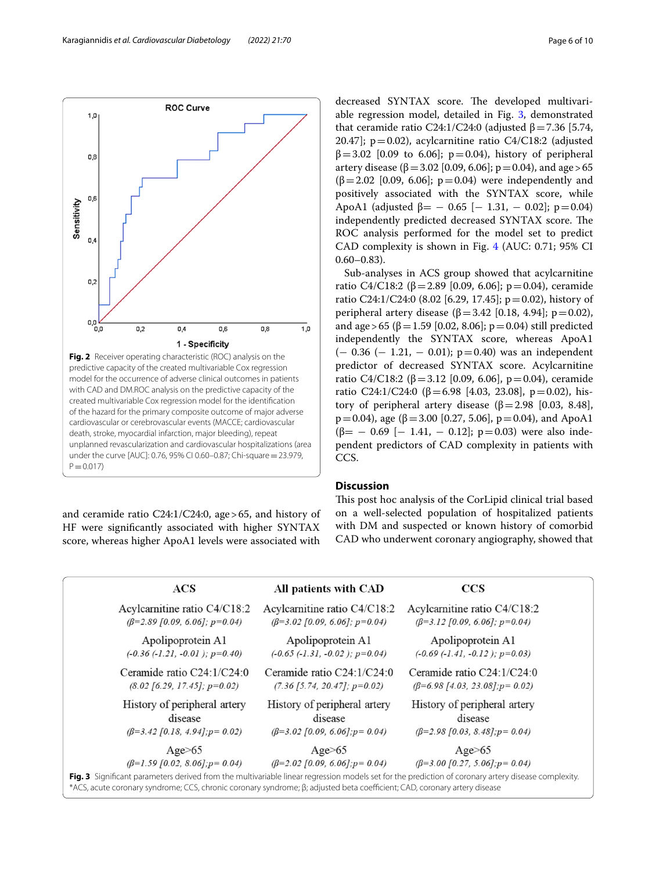and ceramide ratio C24:1/C24:0, age>65, and history of HF were signifcantly associated with higher SYNTAX score, whereas higher ApoA1 levels were associated with decreased SYNTAX score. The developed multivariable regression model, detailed in Fig. [3,](#page-5-1) demonstrated that ceramide ratio C24:1/C24:0 (adjusted  $β = 7.36$  [5.74, 20.47];  $p=0.02$ ), acylcarnitine ratio C4/C18:2 (adjusted  $β=3.02$  [0.09 to 6.06];  $p=0.04$ ), history of peripheral artery disease (β = 3.02 [0.09, 6.06]; p = 0.04), and age > 65  $(β=2.02 [0.09, 6.06]; p=0.04)$  were independently and positively associated with the SYNTAX score, while ApoA1 (adjusted  $\beta$  = - 0.65 [- 1.31, - 0.02]; p=0.04) independently predicted decreased SYNTAX score. The ROC analysis performed for the model set to predict CAD complexity is shown in Fig. [4](#page-6-0) (AUC: 0.71; 95% CI  $0.60 - 0.83$ ).

Sub-analyses in ACS group showed that acylcarnitine ratio C4/C18:2 (β = 2.89 [0.09, 6.06]; p = 0.04), ceramide ratio C24:1/C24:0 (8.02 [6.29, 17.45]; p=0.02), history of peripheral artery disease (β = 3.42 [0.18, 4.94]; p = 0.02), and age > 65 (β = 1.59 [0.02, 8.06]; p = 0.04) still predicted independently the SYNTAX score, whereas ApoΑ1  $(-0.36 (-1.21, -0.01); p=0.40)$  was an independent predictor of decreased SYNTAX score. Acylcarnitine ratio C4/C18:2 (β = 3.12 [0.09, 6.06], p = 0.04), ceramide ratio C24:1/C24:0 (β=6.98 [4.03, 23.08], p=0.02), history of peripheral artery disease ( $β = 2.98$  [0.03, 8.48],  $p=0.04$ ), age (β=3.00 [0.27, 5.06],  $p=0.04$ ), and ApoA1  $(\beta$ = - 0.69 [- 1.41, - 0.12]; p=0.03) were also independent predictors of CAD complexity in patients with CCS.

## **Discussion**

This post hoc analysis of the CorLipid clinical trial based on a well-selected population of hospitalized patients with DM and suspected or known history of comorbid CAD who underwent coronary angiography, showed that



<span id="page-5-1"></span>

|                                                                                                                                                                                                                                                                                  | ACS                                                   | All patients with CAD                                     | <b>CCS</b>                                                  |  |
|----------------------------------------------------------------------------------------------------------------------------------------------------------------------------------------------------------------------------------------------------------------------------------|-------------------------------------------------------|-----------------------------------------------------------|-------------------------------------------------------------|--|
|                                                                                                                                                                                                                                                                                  | Acylcarnitine ratio C4/C18:2                          | Acylcarnitine ratio C4/C18:2                              | Acylcarnitine ratio C4/C18:2                                |  |
|                                                                                                                                                                                                                                                                                  | $(\beta=2.89)$ [0.09, 6.06]; p=0.04)                  | $(\beta=3.02 \, \text{[}0.09, \, 6.06 \text{]; p=0.04})$  | $(\beta=3.12 \, [0.09, 6.06]; p=0.04)$                      |  |
|                                                                                                                                                                                                                                                                                  | Apolipoprotein A1                                     | Apolipoprotein A1                                         | Apolipoprotein A1                                           |  |
|                                                                                                                                                                                                                                                                                  | $(-0.36 (-1.21, -0.01); p=0.40)$                      | $(-0.65 (-1.31, -0.02); p=0.04)$                          | $(-0.69 (-1.41, -0.12); p=0.03)$                            |  |
|                                                                                                                                                                                                                                                                                  | Ceramide ratio $C24:1/C24:0$                          | Ceramide ratio $C24:1/C24:0$                              | Ceramide ratio $C24:1/C24:0$                                |  |
|                                                                                                                                                                                                                                                                                  | $(8.02 \; \text{[}6.29, 17.45 \text{]}; p=0.02)$      | $(7.36 \; 5.74, \; 20.47]; \; p=0.02)$                    | $(\beta=6.98 \; \text{[}4.03, 23.08 \; \text{],} p=0.02)$   |  |
|                                                                                                                                                                                                                                                                                  | History of peripheral artery                          | History of peripheral artery                              | History of peripheral artery                                |  |
|                                                                                                                                                                                                                                                                                  | disease                                               | disease                                                   | disease                                                     |  |
|                                                                                                                                                                                                                                                                                  | $(\beta=3.42 \, \text{[}0.18, 4.94 \text{]; p=0.02})$ | $(\beta=3.02 \, \text{[0.09, 6.06]}; p=0.04)$             | $(\beta=2.98 \, \text{[}0.03, 8.48 \, \text{]}; p=0.04)$    |  |
|                                                                                                                                                                                                                                                                                  | Age>65                                                | $Age \geq 65$                                             | Age>65                                                      |  |
|                                                                                                                                                                                                                                                                                  | $(\beta=1.59 \, \text{[0.02, 8.06]}; p=0.04)$         | $(\beta=2.02 \, \text{[}0.09, \, 6.06 \text{], } p=0.04)$ | $(\beta=3.00 \, \text{[}0.27, \, 5.06 \, \text{]}; p=0.04)$ |  |
| Fig. 3 Significant parameters derived from the multivariable linear regression models set for the prediction of coronary artery disease complexity.<br>*ACS, acute coronary syndrome; CCS, chronic coronary syndrome; β; adjusted beta coefficient; CAD, coronary artery disease |                                                       |                                                           |                                                             |  |

<span id="page-5-0"></span>Sensitivity  $0,4$  $0,2$  $\frac{1}{0,0}$  $0.2$  $0.4$  $0.6$ 0,8  $1,0$ 1 - Specificity **Fig. 2** Receiver operating characteristic (ROC) analysis on the predictive capacity of the created multivariable Cox regression model for the occurrence of adverse clinical outcomes in patients with CAD and DM.ROC analysis on the predictive capacity of the created multivariable Cox regression model for the identifcation of the hazard for the primary composite outcome of major adverse cardiovascular or cerebrovascular events (MACCE; cardiovascular death, stroke, myocardial infarction, major bleeding), repeat unplanned revascularization and cardiovascular hospitalizations (area under the curve [AUC]: 0.76, 95% CI 0.60–0.87; Chi-square=23.979,  $P = 0.017$ 

 $1,0$ 

0,8

0,6

**ROC Curve**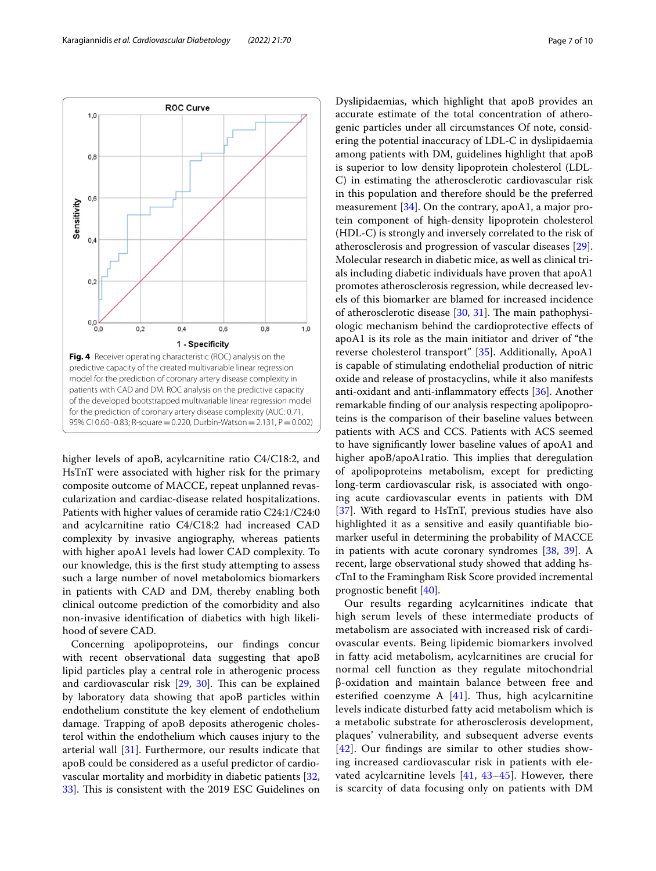

<span id="page-6-0"></span>higher levels of apoB, acylcarnitine ratio C4/C18:2, and HsTnT were associated with higher risk for the primary composite outcome of MACCE, repeat unplanned revascularization and cardiac-disease related hospitalizations. Patients with higher values of ceramide ratio C24:1/C24:0 and acylcarnitine ratio C4/C18:2 had increased CAD complexity by invasive angiography, whereas patients with higher apoA1 levels had lower CAD complexity. To our knowledge, this is the frst study attempting to assess such a large number of novel metabolomics biomarkers in patients with CAD and DM, thereby enabling both clinical outcome prediction of the comorbidity and also non-invasive identifcation of diabetics with high likelihood of severe CAD.

Concerning apolipoproteins, our fndings concur with recent observational data suggesting that apoB lipid particles play a central role in atherogenic process and cardiovascular risk  $[29, 30]$  $[29, 30]$  $[29, 30]$  $[29, 30]$ . This can be explained by laboratory data showing that apoB particles within endothelium constitute the key element of endothelium damage. Trapping of apoB deposits atherogenic cholesterol within the endothelium which causes injury to the arterial wall [\[31\]](#page-8-24). Furthermore, our results indicate that apoB could be considered as a useful predictor of cardiovascular mortality and morbidity in diabetic patients [\[32](#page-8-25), 33. This is consistent with the 2019 ESC Guidelines on Dyslipidaemias, which highlight that apoB provides an accurate estimate of the total concentration of atherogenic particles under all circumstances Of note, considering the potential inaccuracy of LDL-C in dyslipidaemia among patients with DM, guidelines highlight that apoB is superior to low density lipoprotein cholesterol (LDL-C) in estimating the atherosclerotic cardiovascular risk in this population and therefore should be the preferred measurement [[34](#page-8-27)]. On the contrary, apoA1, a major protein component of high-density lipoprotein cholesterol (HDL-C) is strongly and inversely correlated to the risk of atherosclerosis and progression of vascular diseases [\[29](#page-8-22)]. Molecular research in diabetic mice, as well as clinical trials including diabetic individuals have proven that apoA1 promotes atherosclerosis regression, while decreased levels of this biomarker are blamed for increased incidence of atherosclerotic disease  $[30, 31]$  $[30, 31]$  $[30, 31]$  $[30, 31]$ . The main pathophysiologic mechanism behind the cardioprotective efects of apoA1 is its role as the main initiator and driver of "the reverse cholesterol transport" [[35\]](#page-8-28). Additionally, ApoA1 is capable of stimulating endothelial production of nitric oxide and release of prostacyclins, while it also manifests anti-oxidant and anti-infammatory efects [\[36\]](#page-8-29). Another remarkable fnding of our analysis respecting apolipoproteins is the comparison of their baseline values between patients with ACS and CCS. Patients with ACS seemed to have signifcantly lower baseline values of apoA1 and higher apoB/apoA1ratio. This implies that deregulation of apolipoproteins metabolism, except for predicting long-term cardiovascular risk, is associated with ongoing acute cardiovascular events in patients with DM [[37\]](#page-8-30). With regard to HsTnT, previous studies have also highlighted it as a sensitive and easily quantifable biomarker useful in determining the probability of MACCE in patients with acute coronary syndromes [[38,](#page-9-0) [39\]](#page-9-1). A recent, large observational study showed that adding hscTnI to the Framingham Risk Score provided incremental prognostic beneft [[40](#page-9-2)].

Our results regarding acylcarnitines indicate that high serum levels of these intermediate products of metabolism are associated with increased risk of cardiovascular events. Being lipidemic biomarkers involved in fatty acid metabolism, acylcarnitines are crucial for normal cell function as they regulate mitochondrial β-oxidation and maintain balance between free and esterified coenzyme A  $[41]$ . Thus, high acylcarnitine levels indicate disturbed fatty acid metabolism which is a metabolic substrate for atherosclerosis development, plaques' vulnerability, and subsequent adverse events [[42](#page-9-4)]. Our fndings are similar to other studies showing increased cardiovascular risk in patients with elevated acylcarnitine levels  $[41, 43-45]$  $[41, 43-45]$  $[41, 43-45]$  $[41, 43-45]$  $[41, 43-45]$ . However, there is scarcity of data focusing only on patients with DM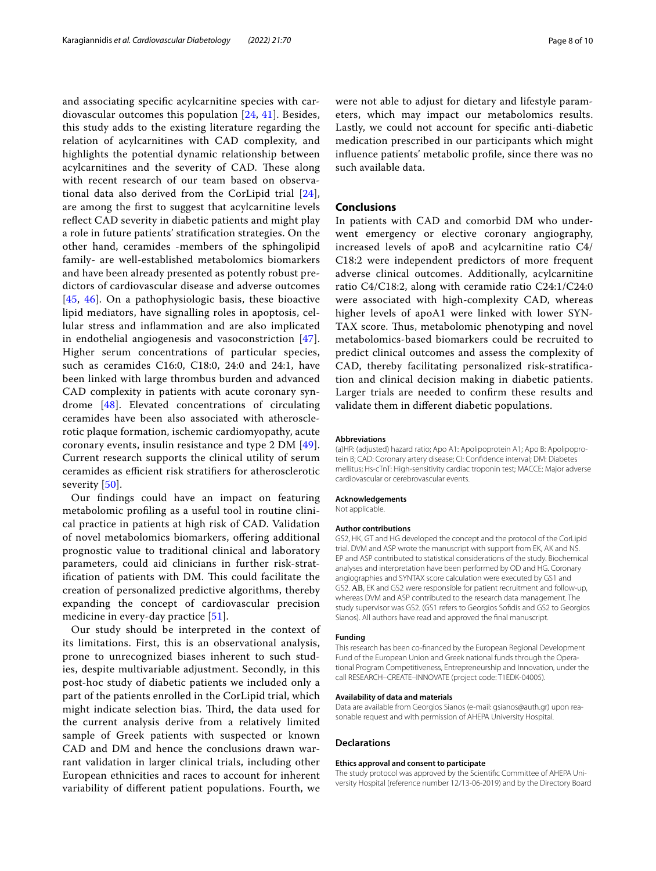and associating specifc acylcarnitine species with cardiovascular outcomes this population [\[24](#page-8-17), [41\]](#page-9-3). Besides, this study adds to the existing literature regarding the relation of acylcarnitines with CAD complexity, and highlights the potential dynamic relationship between acylcarnitines and the severity of CAD. These along with recent research of our team based on observational data also derived from the CorLipid trial [[24](#page-8-17)], are among the frst to suggest that acylcarnitine levels refect CAD severity in diabetic patients and might play a role in future patients' stratifcation strategies. On the other hand, ceramides -members of the sphingolipid family- are well-established metabolomics biomarkers and have been already presented as potently robust predictors of cardiovascular disease and adverse outcomes [[45](#page-9-6), [46\]](#page-9-7). On a pathophysiologic basis, these bioactive lipid mediators, have signalling roles in apoptosis, cellular stress and infammation and are also implicated in endothelial angiogenesis and vasoconstriction [[47\]](#page-9-8). Higher serum concentrations of particular species, such as ceramides C16:0, C18:0, 24:0 and 24:1, have been linked with large thrombus burden and advanced CAD complexity in patients with acute coronary syndrome [[48\]](#page-9-9). Elevated concentrations of circulating ceramides have been also associated with atherosclerotic plaque formation, ischemic cardiomyopathy, acute coronary events, insulin resistance and type 2 DM [[49\]](#page-9-10). Current research supports the clinical utility of serum ceramides as efficient risk stratifiers for atherosclerotic severity [\[50](#page-9-11)].

Our fndings could have an impact on featuring metabolomic profling as a useful tool in routine clinical practice in patients at high risk of CAD. Validation of novel metabolomics biomarkers, ofering additional prognostic value to traditional clinical and laboratory parameters, could aid clinicians in further risk-stratification of patients with DM. This could facilitate the creation of personalized predictive algorithms, thereby expanding the concept of cardiovascular precision medicine in every-day practice [[51](#page-9-12)].

Our study should be interpreted in the context of its limitations. First, this is an observational analysis, prone to unrecognized biases inherent to such studies, despite multivariable adjustment. Secondly, in this post-hoc study of diabetic patients we included only a part of the patients enrolled in the CorLipid trial, which might indicate selection bias. Third, the data used for the current analysis derive from a relatively limited sample of Greek patients with suspected or known CAD and DM and hence the conclusions drawn warrant validation in larger clinical trials, including other European ethnicities and races to account for inherent variability of diferent patient populations. Fourth, we were not able to adjust for dietary and lifestyle parameters, which may impact our metabolomics results. Lastly, we could not account for specifc anti-diabetic medication prescribed in our participants which might infuence patients' metabolic profle, since there was no such available data.

#### **Conclusions**

In patients with CAD and comorbid DM who underwent emergency or elective coronary angiography, increased levels of apoB and acylcarnitine ratio C4/ C18:2 were independent predictors of more frequent adverse clinical outcomes. Additionally, acylcarnitine ratio C4/C18:2, along with ceramide ratio C24:1/C24:0 were associated with high-complexity CAD, whereas higher levels of apoA1 were linked with lower SYN-TAX score. Thus, metabolomic phenotyping and novel metabolomics-based biomarkers could be recruited to predict clinical outcomes and assess the complexity of CAD, thereby facilitating personalized risk-stratifcation and clinical decision making in diabetic patients. Larger trials are needed to confrm these results and validate them in diferent diabetic populations.

#### **Abbreviations**

(a)HR: (adjusted) hazard ratio; Apo A1: Apolipoprotein A1; Apo B: Apolipoprotein B; CAD: Coronary artery disease; CI: Confdence interval; DM: Diabetes mellitus; Hs-cTnT: High-sensitivity cardiac troponin test; MACCE: Major adverse cardiovascular or cerebrovascular events.

#### **Acknowledgements**

Not applicable.

#### **Author contributions**

GS2, HK, GT and HG developed the concept and the protocol of the CorLipid trial. DVM and ASP wrote the manuscript with support from EK, AK and NS. EP and ASP contributed to statistical considerations of the study. Biochemical analyses and interpretation have been performed by OD and HG. Coronary angiographies and SYNTAX score calculation were executed by GS1 and GS2. ΑΒ, EK and GS2 were responsible for patient recruitment and follow-up, whereas DVM and ASP contributed to the research data management. The study supervisor was GS2. (GS1 refers to Georgios Sofdis and GS2 to Georgios Sianos). All authors have read and approved the fnal manuscript.

#### **Funding**

This research has been co-fnanced by the European Regional Development Fund of the European Union and Greek national funds through the Operational Program Competitiveness, Entrepreneurship and Innovation, under the call RESEARCH–CREATE–INNOVATE (project code: T1EDK-04005).

#### **Availability of data and materials**

Data are available from Georgios Sianos (e-mail: gsianos@auth.gr) upon reasonable request and with permission of AHEPA University Hospital.

#### **Declarations**

#### **Ethics approval and consent to participate**

The study protocol was approved by the Scientifc Committee of AHEPA University Hospital (reference number 12/13-06-2019) and by the Directory Board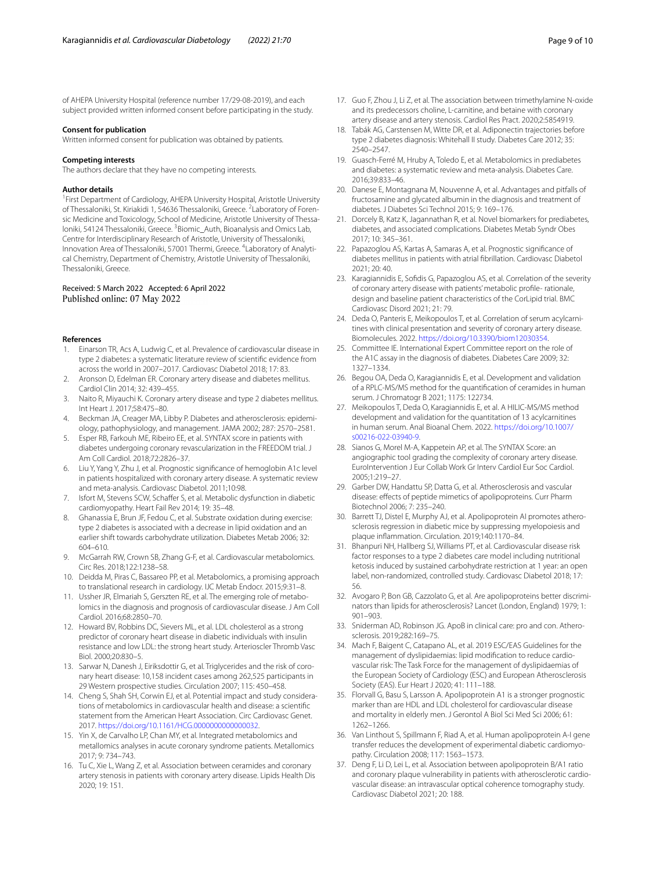of AHEPA University Hospital (reference number 17/29-08-2019), and each subject provided written informed consent before participating in the study.

#### **Consent for publication**

Written informed consent for publication was obtained by patients.

#### **Competing interests**

The authors declare that they have no competing interests.

#### **Author details**

<sup>1</sup> First Department of Cardiology, AHEPA University Hospital, Aristotle University of Thessaloniki, St. Kiriakidi 1, 54636 Thessaloniki, Greece. <sup>2</sup> Laboratory of Forensic Medicine and Toxicology, School of Medicine, Aristotle University of Thessaloniki, 54124 Thessaloniki, Greece. <sup>3</sup> Biomic\_Auth, Bioanalysis and Omics Lab, Centre for Interdisciplinary Research of Aristotle, University of Thessaloniki, Innovation Area of Thessaloniki, 57001 Thermi, Greece. <sup>4</sup> Laboratory of Analytical Chemistry, Department of Chemistry, Aristotle University of Thessaloniki, Thessaloniki, Greece.

## Received: 5 March 2022 Accepted: 6 April 2022<br>Published online: 07 May 2022

#### **References**

- <span id="page-8-0"></span>1. Einarson TR, Acs A, Ludwig C, et al. Prevalence of cardiovascular disease in type 2 diabetes: a systematic literature review of scientifc evidence from across the world in 2007–2017. Cardiovasc Diabetol 2018; 17: 83.
- 2. Aronson D, Edelman ER. Coronary artery disease and diabetes mellitus. Cardiol Clin 2014; 32: 439–455.
- <span id="page-8-1"></span>3. Naito R, Miyauchi K. Coronary artery disease and type 2 diabetes mellitus. Int Heart J. 2017;58:475–80.
- <span id="page-8-2"></span>4. Beckman JA, Creager MA, Libby P. Diabetes and atherosclerosis: epidemiology, pathophysiology, and management. JAMA 2002; 287: 2570–2581.
- <span id="page-8-3"></span>5. Esper RB, Farkouh ME, Ribeiro EE, et al. SYNTAX score in patients with diabetes undergoing coronary revascularization in the FREEDOM trial. J Am Coll Cardiol. 2018;72:2826–37.
- <span id="page-8-4"></span>6. Liu Y, Yang Y, Zhu J, et al. Prognostic signifcance of hemoglobin A1c level in patients hospitalized with coronary artery disease. A systematic review and meta-analysis. Cardiovasc Diabetol. 2011;10:98.
- <span id="page-8-5"></span>7. Isfort M, Stevens SCW, Schaffer S, et al. Metabolic dysfunction in diabetic cardiomyopathy. Heart Fail Rev 2014; 19: 35–48.
- <span id="page-8-6"></span>8. Ghanassia E, Brun JF, Fedou C, et al. Substrate oxidation during exercise: type 2 diabetes is associated with a decrease in lipid oxidation and an earlier shift towards carbohydrate utilization. Diabetes Metab 2006; 32: 604–610.
- <span id="page-8-7"></span>9. McGarrah RW, Crown SB, Zhang G-F, et al. Cardiovascular metabolomics. Circ Res. 2018;122:1238–58.
- <span id="page-8-8"></span>10. Deidda M, Piras C, Bassareo PP, et al. Metabolomics, a promising approach to translational research in cardiology. IJC Metab Endocr. 2015;9:31–8.
- <span id="page-8-9"></span>11. Ussher JR, Elmariah S, Gerszten RE, et al. The emerging role of metabolomics in the diagnosis and prognosis of cardiovascular disease. J Am Coll Cardiol. 2016;68:2850–70.
- <span id="page-8-10"></span>12. Howard BV, Robbins DC, Sievers ML, et al. LDL cholesterol as a strong predictor of coronary heart disease in diabetic individuals with insulin resistance and low LDL: the strong heart study. Arterioscler Thromb Vasc Biol. 2000;20:830–5.
- <span id="page-8-11"></span>13. Sarwar N, Danesh J, Eiriksdottir G, et al. Triglycerides and the risk of coronary heart disease: 10,158 incident cases among 262,525 participants in 29 Western prospective studies. Circulation 2007; 115: 450–458.
- <span id="page-8-12"></span>14. Cheng S, Shah SH, Corwin EJ, et al. Potential impact and study considerations of metabolomics in cardiovascular health and disease: a scientifc statement from the American Heart Association. Circ Cardiovasc Genet. 2017. [https://doi.org/10.1161/HCG.0000000000000032.](https://doi.org/10.1161/HCG.0000000000000032)
- 15. Yin X, de Carvalho LP, Chan MY, et al. Integrated metabolomics and metallomics analyses in acute coronary syndrome patients. Metallomics 2017; 9: 734–743.
- 16. Tu C, Xie L, Wang Z, et al. Association between ceramides and coronary artery stenosis in patients with coronary artery disease. Lipids Health Dis 2020; 19: 151.
- <span id="page-8-13"></span>17. Guo F, Zhou J, Li Z, et al. The association between trimethylamine N-oxide and its predecessors choline, L-carnitine, and betaine with coronary artery disease and artery stenosis. Cardiol Res Pract. 2020;2:5854919.
- <span id="page-8-14"></span>18. Tabák AG, Carstensen M, Witte DR, et al. Adiponectin trajectories before type 2 diabetes diagnosis: Whitehall II study. Diabetes Care 2012; 35: 2540–2547.
- 19. Guasch-Ferré M, Hruby A, Toledo E, et al. Metabolomics in prediabetes and diabetes: a systematic review and meta-analysis. Diabetes Care. 2016;39:833–46.
- 20. Danese E, Montagnana M, Nouvenne A, et al. Advantages and pitfalls of fructosamine and glycated albumin in the diagnosis and treatment of diabetes. J Diabetes Sci Technol 2015; 9: 169–176.
- 21. Dorcely B, Katz K, Jagannathan R, et al. Novel biomarkers for prediabetes, diabetes, and associated complications. Diabetes Metab Syndr Obes 2017; 10: 345–361.
- <span id="page-8-15"></span>22. Papazoglou AS, Kartas A, Samaras A, et al. Prognostic signifcance of diabetes mellitus in patients with atrial fbrillation. Cardiovasc Diabetol 2021; 20: 40.
- <span id="page-8-16"></span>23. Karagiannidis E, Sofdis G, Papazoglou AS, et al. Correlation of the severity of coronary artery disease with patients' metabolic profle- rationale, design and baseline patient characteristics of the CorLipid trial. BMC Cardiovasc Disord 2021; 21: 79.
- <span id="page-8-17"></span>24. Deda O, Panteris E, Meikopoulos T, et al. Correlation of serum acylcarnitines with clinical presentation and severity of coronary artery disease. Biomolecules. 2022.<https://doi.org/10.3390/biom12030354>.
- <span id="page-8-18"></span>25. Committee IE. International Expert Committee report on the role of the A1C assay in the diagnosis of diabetes. Diabetes Care 2009; 32: 1327–1334.
- <span id="page-8-19"></span>26. Begou OA, Deda O, Karagiannidis E, et al. Development and validation of a RPLC-MS/MS method for the quantifcation of ceramides in human serum. J Chromatogr B 2021; 1175: 122734.
- <span id="page-8-20"></span>27. Meikopoulos T, Deda O, Karagiannidis E, et al. A HILIC-MS/MS method development and validation for the quantitation of 13 acylcarnitines in human serum. Anal Bioanal Chem. 2022. [https://doi.org/10.1007/](https://doi.org/10.1007/s00216-022-03940-9) [s00216-022-03940-9](https://doi.org/10.1007/s00216-022-03940-9).
- <span id="page-8-21"></span>28. Sianos G, Morel M-A, Kappetein AP, et al. The SYNTAX Score: an angiographic tool grading the complexity of coronary artery disease. EuroIntervention J Eur Collab Work Gr Interv Cardiol Eur Soc Cardiol. 2005;1:219–27.
- <span id="page-8-22"></span>29. Garber DW, Handattu SP, Datta G, et al. Atherosclerosis and vascular disease: efects of peptide mimetics of apolipoproteins. Curr Pharm Biotechnol 2006; 7: 235–240.
- <span id="page-8-23"></span>30. Barrett TJ, Distel E, Murphy AJ, et al. Apolipoprotein AI promotes atherosclerosis regression in diabetic mice by suppressing myelopoiesis and plaque infammation. Circulation. 2019;140:1170–84.
- <span id="page-8-24"></span>31. Bhanpuri NH, Hallberg SJ, Williams PT, et al. Cardiovascular disease risk factor responses to a type 2 diabetes care model including nutritional ketosis induced by sustained carbohydrate restriction at 1 year: an open label, non-randomized, controlled study. Cardiovasc Diabetol 2018; 17: 56.
- <span id="page-8-25"></span>32. Avogaro P, Bon GB, Cazzolato G, et al. Are apolipoproteins better discriminators than lipids for atherosclerosis? Lancet (London, England) 1979; 1: 901–903.
- <span id="page-8-26"></span>33. Sniderman AD, Robinson JG. ApoB in clinical care: pro and con. Atherosclerosis. 2019;282:169–75.
- <span id="page-8-27"></span>34. Mach F, Baigent C, Catapano AL, et al. 2019 ESC/EAS Guidelines for the management of dyslipidaemias: lipid modifcation to reduce cardiovascular risk: The Task Force for the management of dyslipidaemias of the European Society of Cardiology (ESC) and European Atherosclerosis Society (EAS). Eur Heart J 2020; 41: 111–188.
- <span id="page-8-28"></span>35. Florvall G, Basu S, Larsson A. Apolipoprotein A1 is a stronger prognostic marker than are HDL and LDL cholesterol for cardiovascular disease and mortality in elderly men. J Gerontol A Biol Sci Med Sci 2006; 61: 1262–1266.
- <span id="page-8-29"></span>36. Van Linthout S, Spillmann F, Riad A, et al. Human apolipoprotein A-I gene transfer reduces the development of experimental diabetic cardiomyopathy. Circulation 2008; 117: 1563–1573.
- <span id="page-8-30"></span>37. Deng F, Li D, Lei L, et al. Association between apolipoprotein B/A1 ratio and coronary plaque vulnerability in patients with atherosclerotic cardiovascular disease: an intravascular optical coherence tomography study. Cardiovasc Diabetol 2021; 20: 188.